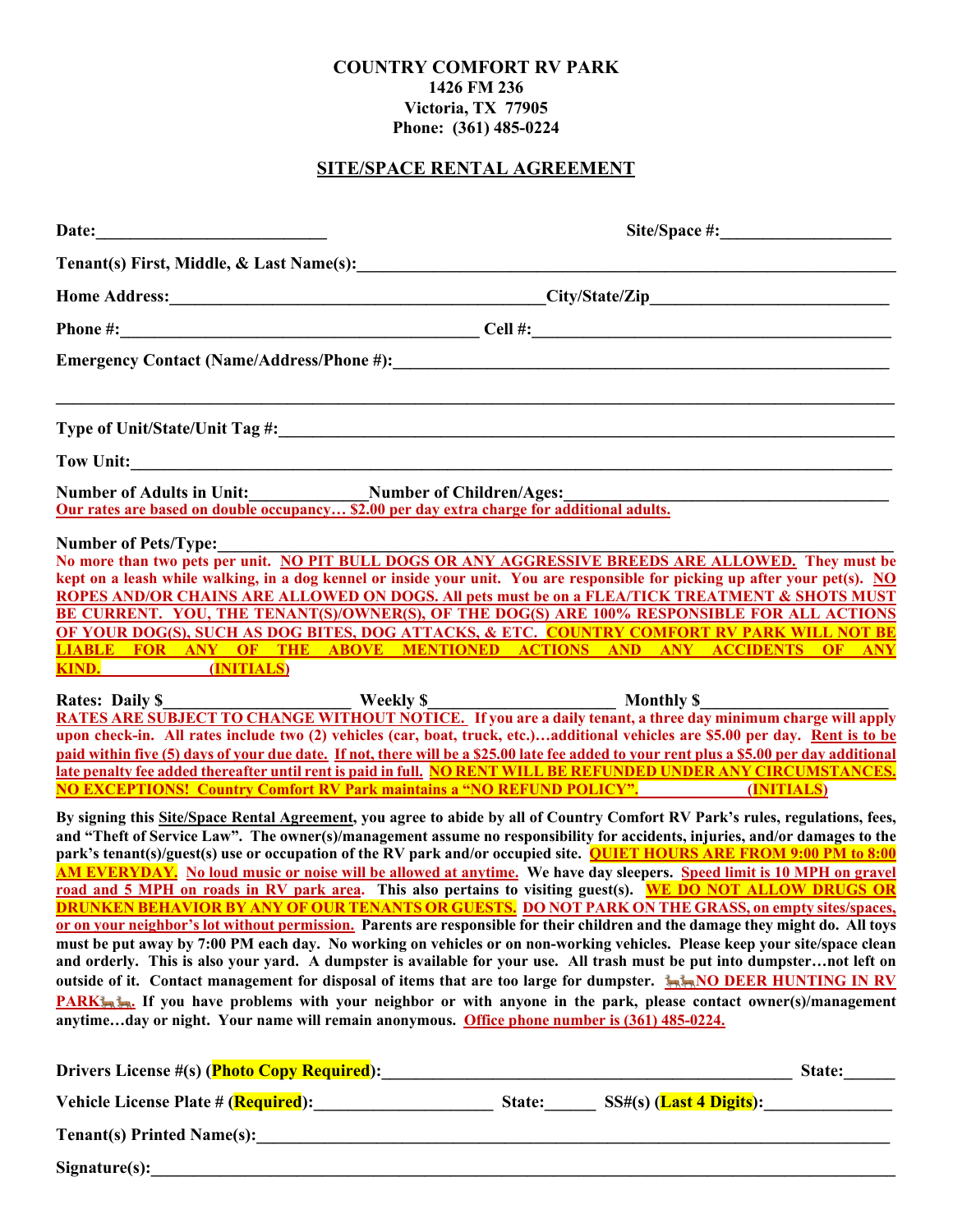#### **COUNTRY COMFORT RV PARK 1426 FM 236 Victoria, TX 77905 Phone: (361) 485-0224**

# **SITE/SPACE RENTAL AGREEMENT**

| Date:<br><u> 1980 - Johann Barbara, martxa alemaniar a</u>                                                                     |                                                                                                                                                                                                                                                                                                                                                                                                                                                                                                                                                                                                                                                                                                                                                                                                                                                                                                                                                                                                                                                                                                                                                |
|--------------------------------------------------------------------------------------------------------------------------------|------------------------------------------------------------------------------------------------------------------------------------------------------------------------------------------------------------------------------------------------------------------------------------------------------------------------------------------------------------------------------------------------------------------------------------------------------------------------------------------------------------------------------------------------------------------------------------------------------------------------------------------------------------------------------------------------------------------------------------------------------------------------------------------------------------------------------------------------------------------------------------------------------------------------------------------------------------------------------------------------------------------------------------------------------------------------------------------------------------------------------------------------|
| Tenant(s) First, Middle, & Last Name(s):                                                                                       |                                                                                                                                                                                                                                                                                                                                                                                                                                                                                                                                                                                                                                                                                                                                                                                                                                                                                                                                                                                                                                                                                                                                                |
|                                                                                                                                |                                                                                                                                                                                                                                                                                                                                                                                                                                                                                                                                                                                                                                                                                                                                                                                                                                                                                                                                                                                                                                                                                                                                                |
|                                                                                                                                |                                                                                                                                                                                                                                                                                                                                                                                                                                                                                                                                                                                                                                                                                                                                                                                                                                                                                                                                                                                                                                                                                                                                                |
|                                                                                                                                |                                                                                                                                                                                                                                                                                                                                                                                                                                                                                                                                                                                                                                                                                                                                                                                                                                                                                                                                                                                                                                                                                                                                                |
|                                                                                                                                |                                                                                                                                                                                                                                                                                                                                                                                                                                                                                                                                                                                                                                                                                                                                                                                                                                                                                                                                                                                                                                                                                                                                                |
|                                                                                                                                |                                                                                                                                                                                                                                                                                                                                                                                                                                                                                                                                                                                                                                                                                                                                                                                                                                                                                                                                                                                                                                                                                                                                                |
| Number of Adults in Unit:<br><u>Our rates are based on double occupancy \$2.00 per day extra charge for additional adults.</u> |                                                                                                                                                                                                                                                                                                                                                                                                                                                                                                                                                                                                                                                                                                                                                                                                                                                                                                                                                                                                                                                                                                                                                |
| <b>Number of Pets/Type:</b><br>KIND. (INITIALS)                                                                                | No more than two pets per unit. NO PIT BULL DOGS OR ANY AGGRESSIVE BREEDS ARE ALLOWED. They must be<br>kept on a leash while walking, in a dog kennel or inside your unit. You are responsible for picking up after your pet(s). NO<br>ROPES AND/OR CHAINS ARE ALLOWED ON DOGS. All pets must be on a FLEA/TICK TREATMENT & SHOTS MUST<br>BE CURRENT. YOU, THE TENANT(S)/OWNER(S), OF THE DOG(S) ARE 100% RESPONSIBLE FOR ALL ACTIONS<br>OF YOUR DOG(S), SUCH AS DOG BITES, DOG ATTACKS, & ETC. COUNTRY COMFORT RV PARK WILL NOT BE<br><b>LIABLE FOR ANY OF THE ABOVE MENTIONED ACTIONS AND ANY ACCIDENTS OF ANY</b>                                                                                                                                                                                                                                                                                                                                                                                                                                                                                                                           |
|                                                                                                                                | Rates: Daily \$<br>RATES ARE SUBJECT TO CHANGE WITHOUT NOTICE. If you are a daily tenant, a three day minimum charge will apply<br>upon check-in. All rates include two (2) vehicles (car, boat, truck, etc.)additional vehicles are \$5.00 per day. Rent is to be<br>paid within five (5) days of your due date. If not, there will be a \$25.00 late fee added to your rent plus a \$5.00 per day additional<br>late penalty fee added thereafter until rent is paid in full. NO RENT WILL BE REFUNDED UNDER ANY CIRCUMSTANCES.<br><b>NO EXCEPTIONS!</b> Country Comfort RV Park maintains a "NO REFUND POLICY". (INITIALS)                                                                                                                                                                                                                                                                                                                                                                                                                                                                                                                  |
|                                                                                                                                | By signing this Site/Space Rental Agreement, you agree to abide by all of Country Comfort RV Park's rules, regulations, fees,<br>and "Theft of Service Law". The owner(s)/management assume no responsibility for accidents, injuries, and/or damages to the<br>park's tenant(s)/guest(s) use or occupation of the RV park and/or occupied site. <b>QUIET HOURS ARE FROM 9:00 PM to 8:00</b><br>AM EVERYDAY. No loud music or noise will be allowed at anytime. We have day sleepers. Speed limit is 10 MPH on gravel<br>road and 5 MPH on roads in RV park area. This also pertains to visiting guest(s). WE DO NOT ALLOW DRUGS OR<br><b>DRUNKEN BEHAVIOR BY ANY OF OUR TENANTS OR GUESTS. DO NOT PARK ON THE GRASS, on empty sites/spaces,</b><br>or on your neighbor's lot without permission. Parents are responsible for their children and the damage they might do. All toys<br>must be put away by 7:00 PM each day. No working on vehicles or on non-working vehicles. Please keep your site/space clean<br>and orderly. This is also your yard. A dumpster is available for your use. All trash must be put into dumpsternot left on |
|                                                                                                                                | outside of it. Contact management for disposal of items that are too large for dumpster. <b>AMO DEER HUNTING IN RV</b><br><b>PARK</b> <sup>1</sup> / <sub>200</sub> <sup>2</sup> / <sub>200</sub> <sup>2</sup> / <sub>200</sub> <sup>2</sup> / <sub>200</sub> <sup>2</sup> / <sub>200</sub> <sup>2</sup> / <sub>200</sub> <sup>2</sup> /200 <sup>2</sup> /200 <sup>2</sup> /200 <sup>2</sup> /2001 regiption or with anyone in the park, please contact owner(s)/management<br>anytimeday or night. Your name will remain anonymous. Office phone number is (361) 485-0224.                                                                                                                                                                                                                                                                                                                                                                                                                                                                                                                                                                    |
|                                                                                                                                |                                                                                                                                                                                                                                                                                                                                                                                                                                                                                                                                                                                                                                                                                                                                                                                                                                                                                                                                                                                                                                                                                                                                                |
|                                                                                                                                | Vehicle License Plate # (Required): State: SS#(s) (Last 4 Digits):                                                                                                                                                                                                                                                                                                                                                                                                                                                                                                                                                                                                                                                                                                                                                                                                                                                                                                                                                                                                                                                                             |
|                                                                                                                                |                                                                                                                                                                                                                                                                                                                                                                                                                                                                                                                                                                                                                                                                                                                                                                                                                                                                                                                                                                                                                                                                                                                                                |
|                                                                                                                                | Signature(s):                                                                                                                                                                                                                                                                                                                                                                                                                                                                                                                                                                                                                                                                                                                                                                                                                                                                                                                                                                                                                                                                                                                                  |